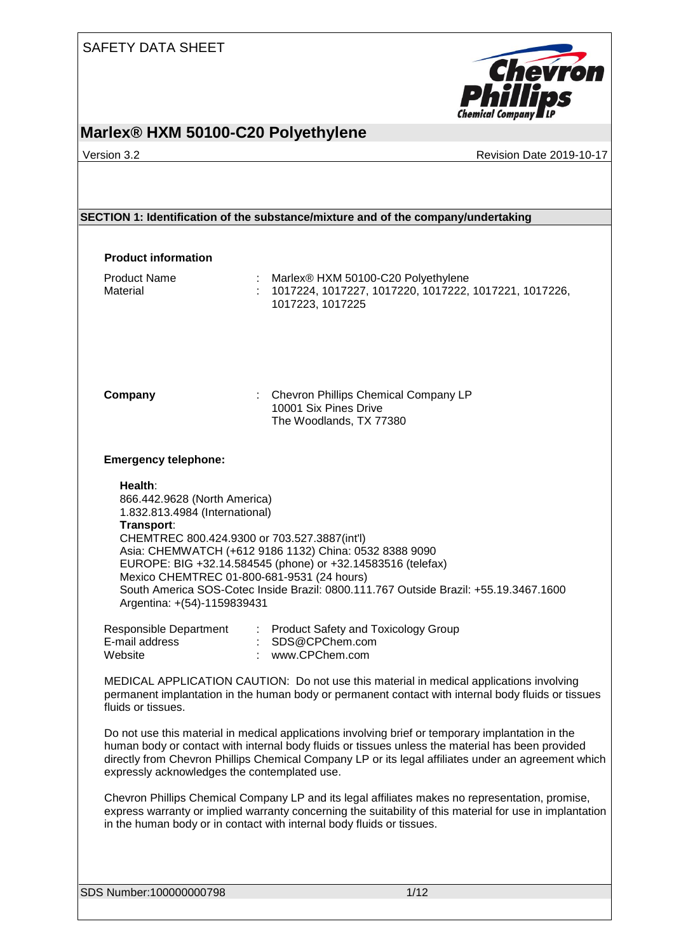

# **Marlex® HXM 50100-C20 Polyethylene**

### Version 3.2 Revision Date 2019-10-17

| <b>Product information</b>                                                                                                                                                                                           |                                                                                                                                                                                                                                                                                                              |
|----------------------------------------------------------------------------------------------------------------------------------------------------------------------------------------------------------------------|--------------------------------------------------------------------------------------------------------------------------------------------------------------------------------------------------------------------------------------------------------------------------------------------------------------|
| <b>Product Name</b><br>Material                                                                                                                                                                                      | Marlex® HXM 50100-C20 Polyethylene<br>1017224, 1017227, 1017220, 1017222, 1017221, 1017226,<br>1017223, 1017225                                                                                                                                                                                              |
| Company                                                                                                                                                                                                              | : Chevron Phillips Chemical Company LP<br>10001 Six Pines Drive<br>The Woodlands, TX 77380                                                                                                                                                                                                                   |
| <b>Emergency telephone:</b>                                                                                                                                                                                          |                                                                                                                                                                                                                                                                                                              |
| Health:<br>866.442.9628 (North America)<br>1.832.813.4984 (International)<br>Transport:<br>CHEMTREC 800.424.9300 or 703.527.3887(int'l)<br>Mexico CHEMTREC 01-800-681-9531 (24 hours)<br>Argentina: +(54)-1159839431 | Asia: CHEMWATCH (+612 9186 1132) China: 0532 8388 9090<br>EUROPE: BIG +32.14.584545 (phone) or +32.14583516 (telefax)<br>South America SOS-Cotec Inside Brazil: 0800.111.767 Outside Brazil: +55.19.3467.1600                                                                                                |
| E-mail address<br>Website                                                                                                                                                                                            | Responsible Department : Product Safety and Toxicology Group<br>: SDS@CPChem.com<br>: www.CPChem.com                                                                                                                                                                                                         |
| fluids or tissues.                                                                                                                                                                                                   | MEDICAL APPLICATION CAUTION: Do not use this material in medical applications involving<br>permanent implantation in the human body or permanent contact with internal body fluids or tissues                                                                                                                |
| expressly acknowledges the contemplated use.                                                                                                                                                                         | Do not use this material in medical applications involving brief or temporary implantation in the<br>human body or contact with internal body fluids or tissues unless the material has been provided<br>directly from Chevron Phillips Chemical Company LP or its legal affiliates under an agreement which |
|                                                                                                                                                                                                                      | Chevron Phillips Chemical Company LP and its legal affiliates makes no representation, promise,<br>express warranty or implied warranty concerning the suitability of this material for use in implantation<br>in the human body or in contact with internal body fluids or tissues.                         |
|                                                                                                                                                                                                                      |                                                                                                                                                                                                                                                                                                              |
| SDS Number:100000000798                                                                                                                                                                                              | 1/12                                                                                                                                                                                                                                                                                                         |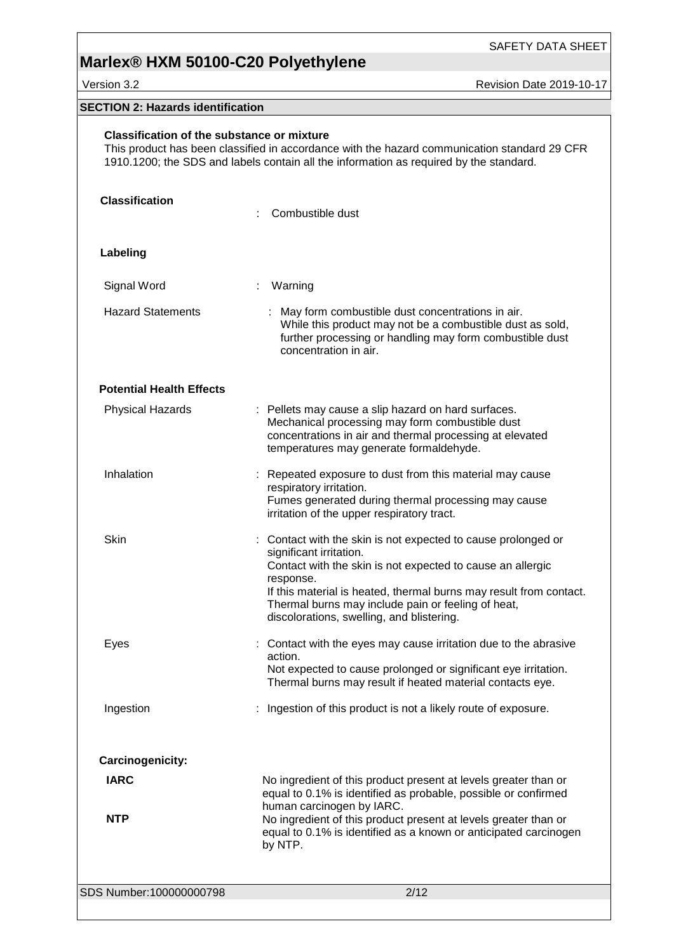Version 3.2 **All 2019-10-17** Revision Date 2019-10-17

### **SECTION 2: Hazards identification**

| <b>Classification of the substance or mixture</b><br>This product has been classified in accordance with the hazard communication standard 29 CFR<br>1910.1200; the SDS and labels contain all the information as required by the standard. |                                                                                                                                                                                                                                                                                                                                              |  |
|---------------------------------------------------------------------------------------------------------------------------------------------------------------------------------------------------------------------------------------------|----------------------------------------------------------------------------------------------------------------------------------------------------------------------------------------------------------------------------------------------------------------------------------------------------------------------------------------------|--|
| <b>Classification</b>                                                                                                                                                                                                                       | Combustible dust                                                                                                                                                                                                                                                                                                                             |  |
| Labeling                                                                                                                                                                                                                                    |                                                                                                                                                                                                                                                                                                                                              |  |
| Signal Word                                                                                                                                                                                                                                 | Warning                                                                                                                                                                                                                                                                                                                                      |  |
| <b>Hazard Statements</b>                                                                                                                                                                                                                    | May form combustible dust concentrations in air.<br>While this product may not be a combustible dust as sold,<br>further processing or handling may form combustible dust<br>concentration in air.                                                                                                                                           |  |
| <b>Potential Health Effects</b>                                                                                                                                                                                                             |                                                                                                                                                                                                                                                                                                                                              |  |
| <b>Physical Hazards</b>                                                                                                                                                                                                                     | : Pellets may cause a slip hazard on hard surfaces.<br>Mechanical processing may form combustible dust<br>concentrations in air and thermal processing at elevated<br>temperatures may generate formaldehyde.                                                                                                                                |  |
| Inhalation                                                                                                                                                                                                                                  | : Repeated exposure to dust from this material may cause<br>respiratory irritation.<br>Fumes generated during thermal processing may cause<br>irritation of the upper respiratory tract.                                                                                                                                                     |  |
| Skin                                                                                                                                                                                                                                        | : Contact with the skin is not expected to cause prolonged or<br>significant irritation.<br>Contact with the skin is not expected to cause an allergic<br>response.<br>If this material is heated, thermal burns may result from contact.<br>Thermal burns may include pain or feeling of heat,<br>discolorations, swelling, and blistering. |  |
| Eyes                                                                                                                                                                                                                                        | : Contact with the eyes may cause irritation due to the abrasive<br>action.<br>Not expected to cause prolonged or significant eye irritation.<br>Thermal burns may result if heated material contacts eye.                                                                                                                                   |  |
| Ingestion                                                                                                                                                                                                                                   | Ingestion of this product is not a likely route of exposure.                                                                                                                                                                                                                                                                                 |  |
| Carcinogenicity:                                                                                                                                                                                                                            |                                                                                                                                                                                                                                                                                                                                              |  |
| <b>IARC</b><br><b>NTP</b>                                                                                                                                                                                                                   | No ingredient of this product present at levels greater than or<br>equal to 0.1% is identified as probable, possible or confirmed<br>human carcinogen by IARC.<br>No ingredient of this product present at levels greater than or                                                                                                            |  |
|                                                                                                                                                                                                                                             | equal to 0.1% is identified as a known or anticipated carcinogen<br>by NTP.                                                                                                                                                                                                                                                                  |  |
| SDS Number:100000000798                                                                                                                                                                                                                     | 2/12                                                                                                                                                                                                                                                                                                                                         |  |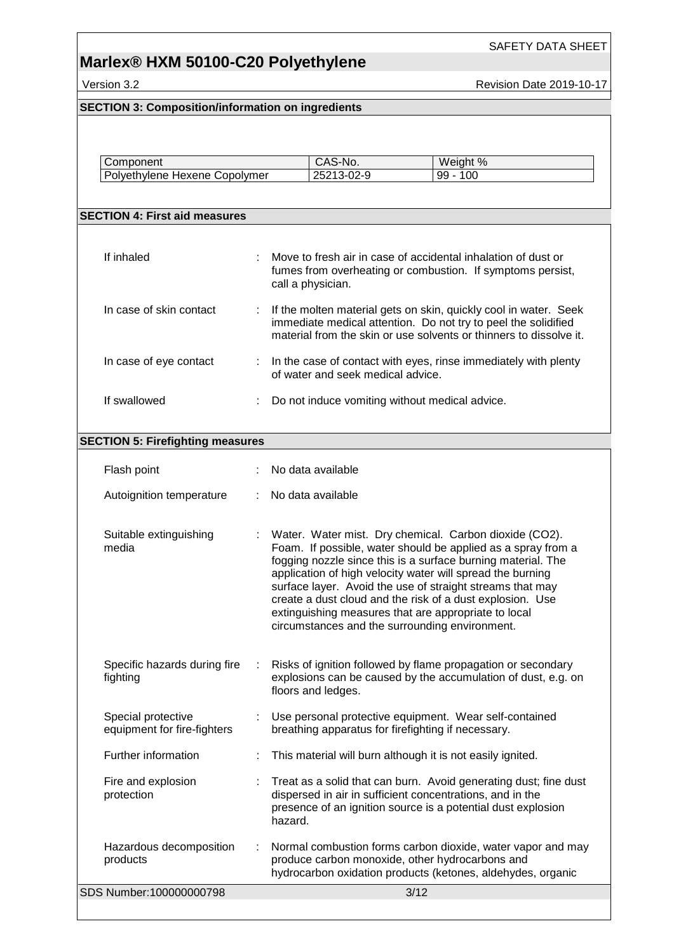**Version 3.2 Revision Date 2019-10-17** 

SAFETY DATA SHEET

| <b>SECTION 3: Composition/information on ingredients</b> |    |                                                                                                                                                                                                                                                                                                                                                                                                                                                                                          |
|----------------------------------------------------------|----|------------------------------------------------------------------------------------------------------------------------------------------------------------------------------------------------------------------------------------------------------------------------------------------------------------------------------------------------------------------------------------------------------------------------------------------------------------------------------------------|
|                                                          |    |                                                                                                                                                                                                                                                                                                                                                                                                                                                                                          |
|                                                          |    |                                                                                                                                                                                                                                                                                                                                                                                                                                                                                          |
| Component                                                |    | CAS-No.<br>Weight %                                                                                                                                                                                                                                                                                                                                                                                                                                                                      |
| Polyethylene Hexene Copolymer                            |    | 25213-02-9<br>$99 - 100$                                                                                                                                                                                                                                                                                                                                                                                                                                                                 |
|                                                          |    |                                                                                                                                                                                                                                                                                                                                                                                                                                                                                          |
| <b>SECTION 4: First aid measures</b>                     |    |                                                                                                                                                                                                                                                                                                                                                                                                                                                                                          |
|                                                          |    |                                                                                                                                                                                                                                                                                                                                                                                                                                                                                          |
| If inhaled                                               |    | Move to fresh air in case of accidental inhalation of dust or<br>fumes from overheating or combustion. If symptoms persist,<br>call a physician.                                                                                                                                                                                                                                                                                                                                         |
| In case of skin contact                                  |    | If the molten material gets on skin, quickly cool in water. Seek<br>immediate medical attention. Do not try to peel the solidified<br>material from the skin or use solvents or thinners to dissolve it.                                                                                                                                                                                                                                                                                 |
| In case of eye contact                                   | ÷. | In the case of contact with eyes, rinse immediately with plenty<br>of water and seek medical advice.                                                                                                                                                                                                                                                                                                                                                                                     |
| If swallowed                                             | ÷  | Do not induce vomiting without medical advice.                                                                                                                                                                                                                                                                                                                                                                                                                                           |
| <b>SECTION 5: Firefighting measures</b>                  |    |                                                                                                                                                                                                                                                                                                                                                                                                                                                                                          |
|                                                          |    |                                                                                                                                                                                                                                                                                                                                                                                                                                                                                          |
| Flash point                                              |    | No data available                                                                                                                                                                                                                                                                                                                                                                                                                                                                        |
| Autoignition temperature                                 |    | No data available                                                                                                                                                                                                                                                                                                                                                                                                                                                                        |
| Suitable extinguishing<br>media                          |    | Water. Water mist. Dry chemical. Carbon dioxide (CO2).<br>Foam. If possible, water should be applied as a spray from a<br>fogging nozzle since this is a surface burning material. The<br>application of high velocity water will spread the burning<br>surface layer. Avoid the use of straight streams that may<br>create a dust cloud and the risk of a dust explosion. Use<br>extinguishing measures that are appropriate to local<br>circumstances and the surrounding environment. |
| Specific hazards during fire<br>fighting                 |    | Risks of ignition followed by flame propagation or secondary<br>explosions can be caused by the accumulation of dust, e.g. on<br>floors and ledges.                                                                                                                                                                                                                                                                                                                                      |
| Special protective<br>equipment for fire-fighters        |    | Use personal protective equipment. Wear self-contained<br>breathing apparatus for firefighting if necessary.                                                                                                                                                                                                                                                                                                                                                                             |
| Further information                                      |    | This material will burn although it is not easily ignited.                                                                                                                                                                                                                                                                                                                                                                                                                               |
| Fire and explosion<br>protection                         |    | Treat as a solid that can burn. Avoid generating dust; fine dust<br>dispersed in air in sufficient concentrations, and in the<br>presence of an ignition source is a potential dust explosion<br>hazard.                                                                                                                                                                                                                                                                                 |
| Hazardous decomposition<br>products                      |    | Normal combustion forms carbon dioxide, water vapor and may<br>produce carbon monoxide, other hydrocarbons and<br>hydrocarbon oxidation products (ketones, aldehydes, organic                                                                                                                                                                                                                                                                                                            |
| SDS Number:100000000798                                  |    | 3/12                                                                                                                                                                                                                                                                                                                                                                                                                                                                                     |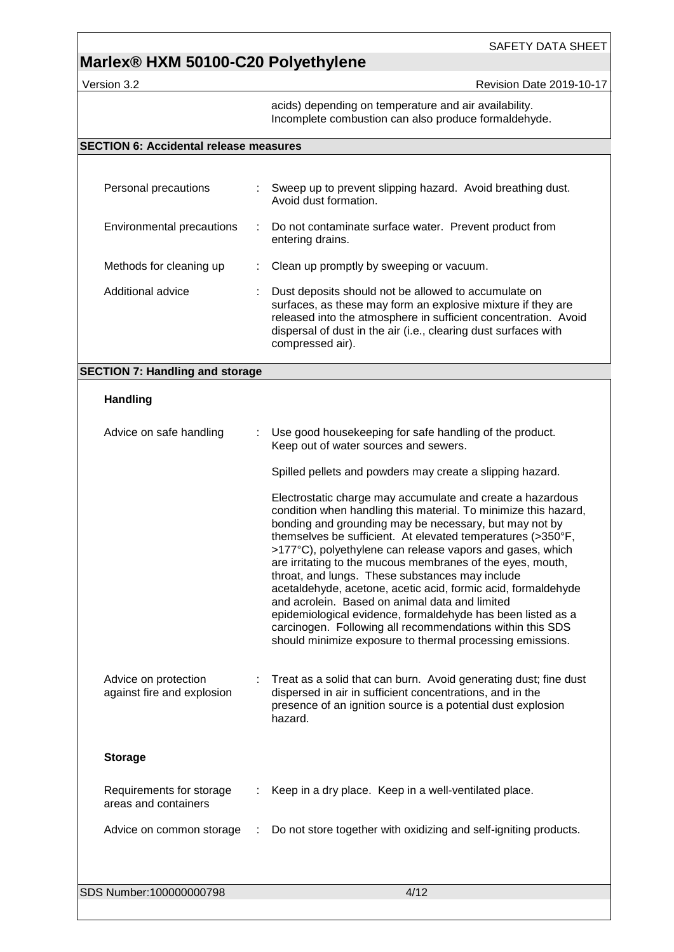# **Marlex® HXM 50100-C20 Polyethylene**

Version 3.2 **Access 2019-10-17** Revision Date 2019-10-17

acids) depending on temperature and air availability. Incomplete combustion can also produce formaldehyde.

### **SECTION 6: Accidental release measures**

| Personal precautions      |   | Sweep up to prevent slipping hazard. Avoid breathing dust.<br>Avoid dust formation.                                                                                                                                                                                            |
|---------------------------|---|--------------------------------------------------------------------------------------------------------------------------------------------------------------------------------------------------------------------------------------------------------------------------------|
| Environmental precautions | ÷ | Do not contaminate surface water. Prevent product from<br>entering drains.                                                                                                                                                                                                     |
| Methods for cleaning up   |   | Clean up promptly by sweeping or vacuum.                                                                                                                                                                                                                                       |
| Additional advice         |   | Dust deposits should not be allowed to accumulate on<br>surfaces, as these may form an explosive mixture if they are<br>released into the atmosphere in sufficient concentration. Avoid<br>dispersal of dust in the air (i.e., clearing dust surfaces with<br>compressed air). |

### **SECTION 7: Handling and storage**

#### **Handling**

| Advice on safe handling                            | Use good housekeeping for safe handling of the product.<br>Keep out of water sources and sewers.                                                                                                                                                                                                                                                                                                                                                                                                                                                                                                                                                                                                                                                 |
|----------------------------------------------------|--------------------------------------------------------------------------------------------------------------------------------------------------------------------------------------------------------------------------------------------------------------------------------------------------------------------------------------------------------------------------------------------------------------------------------------------------------------------------------------------------------------------------------------------------------------------------------------------------------------------------------------------------------------------------------------------------------------------------------------------------|
|                                                    | Spilled pellets and powders may create a slipping hazard.                                                                                                                                                                                                                                                                                                                                                                                                                                                                                                                                                                                                                                                                                        |
|                                                    | Electrostatic charge may accumulate and create a hazardous<br>condition when handling this material. To minimize this hazard,<br>bonding and grounding may be necessary, but may not by<br>themselves be sufficient. At elevated temperatures (>350°F,<br>>177°C), polyethylene can release vapors and gases, which<br>are irritating to the mucous membranes of the eyes, mouth,<br>throat, and lungs. These substances may include<br>acetaldehyde, acetone, acetic acid, formic acid, formaldehyde<br>and acrolein. Based on animal data and limited<br>epidemiological evidence, formaldehyde has been listed as a<br>carcinogen. Following all recommendations within this SDS<br>should minimize exposure to thermal processing emissions. |
| Advice on protection<br>against fire and explosion | Treat as a solid that can burn. Avoid generating dust; fine dust<br>dispersed in air in sufficient concentrations, and in the<br>presence of an ignition source is a potential dust explosion<br>hazard.                                                                                                                                                                                                                                                                                                                                                                                                                                                                                                                                         |
| <b>Storage</b>                                     |                                                                                                                                                                                                                                                                                                                                                                                                                                                                                                                                                                                                                                                                                                                                                  |
| Requirements for storage<br>areas and containers   | Keep in a dry place. Keep in a well-ventilated place.                                                                                                                                                                                                                                                                                                                                                                                                                                                                                                                                                                                                                                                                                            |
| Advice on common storage                           | Do not store together with oxidizing and self-igniting products.                                                                                                                                                                                                                                                                                                                                                                                                                                                                                                                                                                                                                                                                                 |
|                                                    |                                                                                                                                                                                                                                                                                                                                                                                                                                                                                                                                                                                                                                                                                                                                                  |
| SDS Number:100000000798                            | 4/12                                                                                                                                                                                                                                                                                                                                                                                                                                                                                                                                                                                                                                                                                                                                             |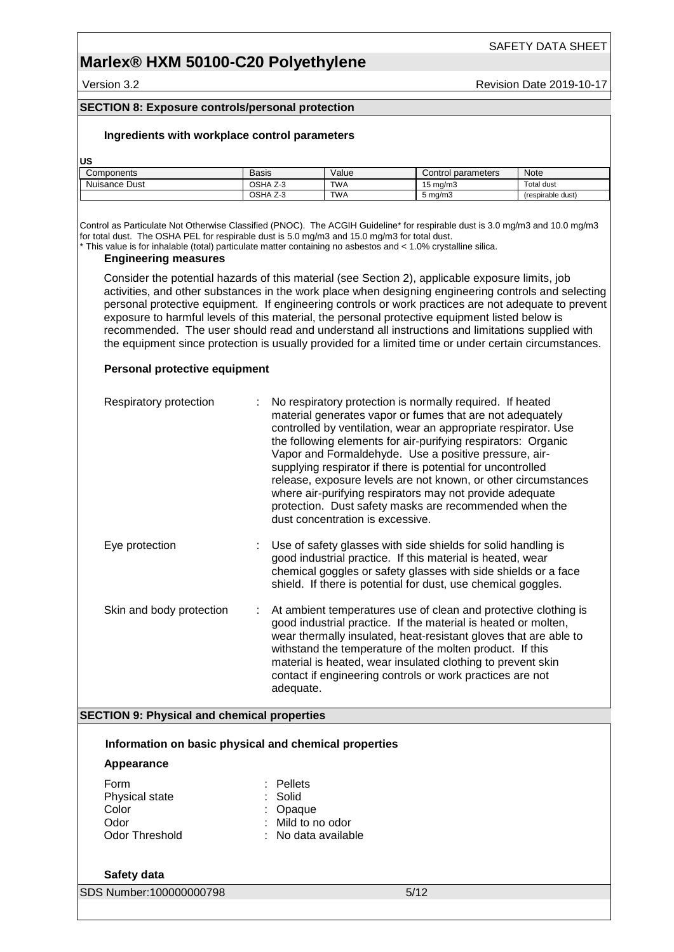### **Marlex® HXM 50100-C20 Polyethylene**

Version 3.2 **All Accords** Version Date 2019-10-17

#### **SECTION 8: Exposure controls/personal protection**

#### **Ingredients with workplace control parameters**

**US**

| Components    | Basis                                     | Value      | parameters<br>Control | Note              |
|---------------|-------------------------------------------|------------|-----------------------|-------------------|
| Nuisance Dust | OSHA<br>$\overline{\phantom{a}}$<br>ن - ے | <b>TWA</b> | 15 ma/m3              | Total dust        |
|               | OSHA<br>$\overline{\phantom{a}}$<br>Z-3   | <b>TWA</b> | ⊼ma/m′ัง              | (respirable dust) |

Control as Particulate Not Otherwise Classified (PNOC). The ACGIH Guideline\* for respirable dust is 3.0 mg/m3 and 10.0 mg/m3 for total dust. The OSHA PEL for respirable dust is 5.0 mg/m3 and 15.0 mg/m3 for total dust.

\* This value is for inhalable (total) particulate matter containing no asbestos and < 1.0% crystalline silica.

#### **Engineering measures**

Consider the potential hazards of this material (see Section 2), applicable exposure limits, job activities, and other substances in the work place when designing engineering controls and selecting personal protective equipment. If engineering controls or work practices are not adequate to prevent exposure to harmful levels of this material, the personal protective equipment listed below is recommended. The user should read and understand all instructions and limitations supplied with the equipment since protection is usually provided for a limited time or under certain circumstances.

#### **Personal protective equipment**

| Respiratory protection                                                         | No respiratory protection is normally required. If heated<br>material generates vapor or fumes that are not adequately<br>controlled by ventilation, wear an appropriate respirator. Use<br>the following elements for air-purifying respirators: Organic<br>Vapor and Formaldehyde. Use a positive pressure, air-<br>supplying respirator if there is potential for uncontrolled<br>release, exposure levels are not known, or other circumstances<br>where air-purifying respirators may not provide adequate<br>protection. Dust safety masks are recommended when the<br>dust concentration is excessive. |
|--------------------------------------------------------------------------------|---------------------------------------------------------------------------------------------------------------------------------------------------------------------------------------------------------------------------------------------------------------------------------------------------------------------------------------------------------------------------------------------------------------------------------------------------------------------------------------------------------------------------------------------------------------------------------------------------------------|
| Eye protection                                                                 | Use of safety glasses with side shields for solid handling is<br>good industrial practice. If this material is heated, wear<br>chemical goggles or safety glasses with side shields or a face<br>shield. If there is potential for dust, use chemical goggles.                                                                                                                                                                                                                                                                                                                                                |
| Skin and body protection                                                       | At ambient temperatures use of clean and protective clothing is<br>good industrial practice. If the material is heated or molten,<br>wear thermally insulated, heat-resistant gloves that are able to<br>withstand the temperature of the molten product. If this<br>material is heated, wear insulated clothing to prevent skin<br>contact if engineering controls or work practices are not<br>adequate.                                                                                                                                                                                                    |
| <b>SECTION 9: Physical and chemical properties</b>                             |                                                                                                                                                                                                                                                                                                                                                                                                                                                                                                                                                                                                               |
| Information on basic physical and chemical properties                          |                                                                                                                                                                                                                                                                                                                                                                                                                                                                                                                                                                                                               |
|                                                                                |                                                                                                                                                                                                                                                                                                                                                                                                                                                                                                                                                                                                               |
| Appearance<br>Form<br>Physical state<br>Color<br>Odor<br><b>Odor Threshold</b> | Pellets<br>Solid<br>Opaque<br>Mild to no odor<br>No data available                                                                                                                                                                                                                                                                                                                                                                                                                                                                                                                                            |
| Safety data                                                                    |                                                                                                                                                                                                                                                                                                                                                                                                                                                                                                                                                                                                               |
| SDS Number:100000000798                                                        | 5/12                                                                                                                                                                                                                                                                                                                                                                                                                                                                                                                                                                                                          |
|                                                                                |                                                                                                                                                                                                                                                                                                                                                                                                                                                                                                                                                                                                               |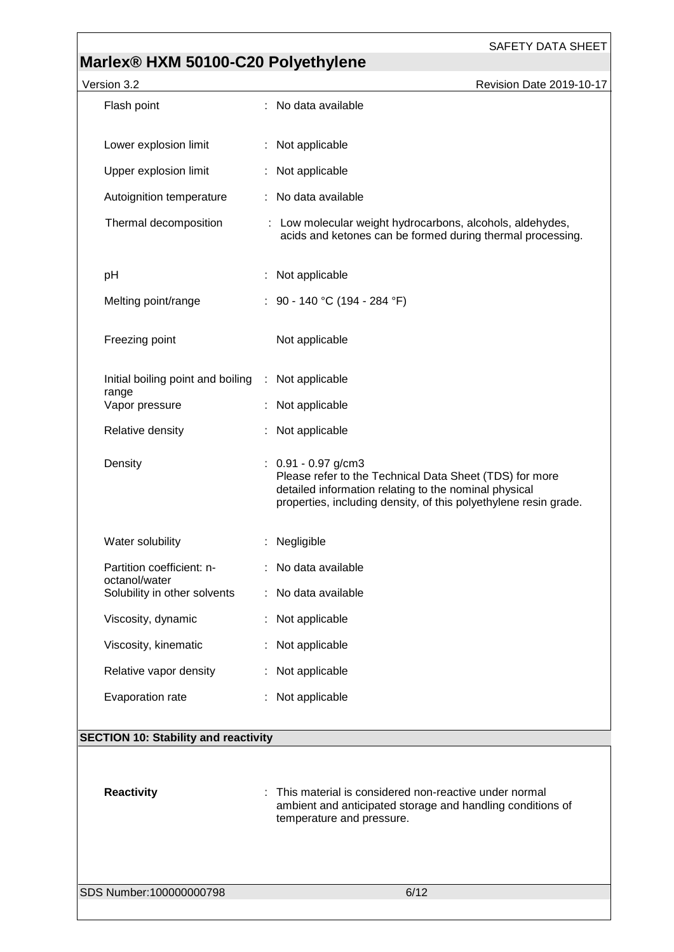# **Marlex® HXM 50100-C20 Polyethylene**

| Version 3.2                                 | Revision Date 2019-10-17                                                                                                                                                                                      |  |
|---------------------------------------------|---------------------------------------------------------------------------------------------------------------------------------------------------------------------------------------------------------------|--|
| Flash point                                 | : No data available                                                                                                                                                                                           |  |
| Lower explosion limit                       | : Not applicable                                                                                                                                                                                              |  |
| Upper explosion limit                       | : Not applicable                                                                                                                                                                                              |  |
| Autoignition temperature                    | : No data available                                                                                                                                                                                           |  |
| Thermal decomposition                       | : Low molecular weight hydrocarbons, alcohols, aldehydes,<br>acids and ketones can be formed during thermal processing.                                                                                       |  |
| pH                                          | : Not applicable                                                                                                                                                                                              |  |
| Melting point/range                         | : 90 - 140 °C (194 - 284 °F)                                                                                                                                                                                  |  |
| Freezing point                              | Not applicable                                                                                                                                                                                                |  |
| Initial boiling point and boiling           | : Not applicable                                                                                                                                                                                              |  |
| range<br>Vapor pressure                     | : Not applicable                                                                                                                                                                                              |  |
| Relative density                            | Not applicable                                                                                                                                                                                                |  |
| Density                                     | $: 0.91 - 0.97$ g/cm3<br>Please refer to the Technical Data Sheet (TDS) for more<br>detailed information relating to the nominal physical<br>properties, including density, of this polyethylene resin grade. |  |
| Water solubility                            | Negligible                                                                                                                                                                                                    |  |
| Partition coefficient: n-<br>octanol/water  | No data available                                                                                                                                                                                             |  |
| Solubility in other solvents                | : No data available                                                                                                                                                                                           |  |
| Viscosity, dynamic                          | : Not applicable                                                                                                                                                                                              |  |
| Viscosity, kinematic                        | : Not applicable                                                                                                                                                                                              |  |
| Relative vapor density                      | : Not applicable                                                                                                                                                                                              |  |
| Evaporation rate                            | : Not applicable                                                                                                                                                                                              |  |
| <b>SECTION 10: Stability and reactivity</b> |                                                                                                                                                                                                               |  |
| <b>Reactivity</b>                           | This material is considered non-reactive under normal<br>ambient and anticipated storage and handling conditions of<br>temperature and pressure.                                                              |  |
| SDS Number:100000000798                     | 6/12                                                                                                                                                                                                          |  |
|                                             |                                                                                                                                                                                                               |  |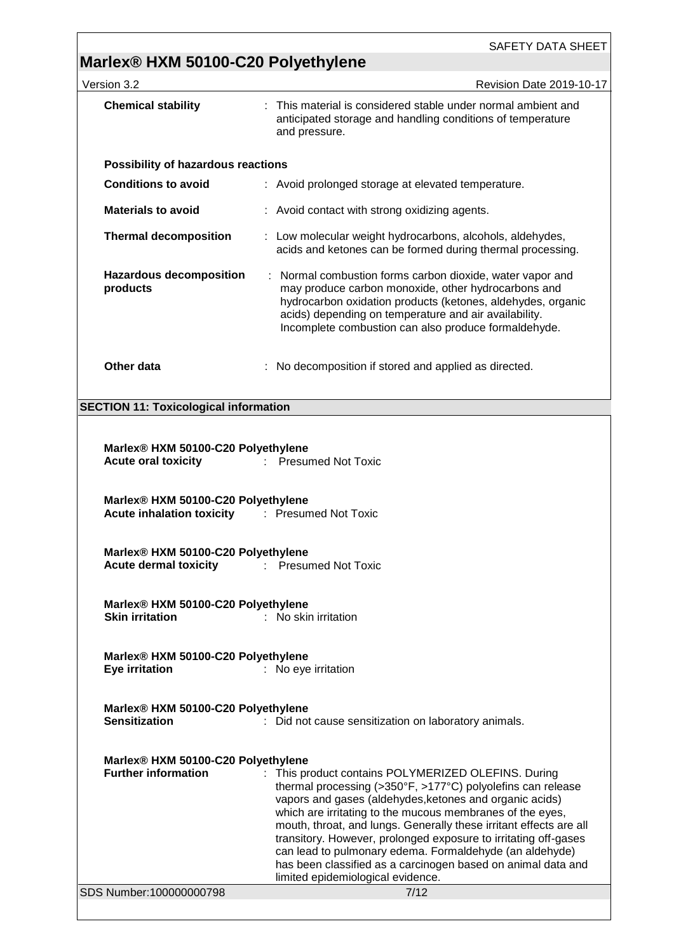# **Marlex® HXM 50100-C20 Polyethylene**

| Version 3.2                                                                                        | <b>Revision Date 2019-10-17</b>                                                                                                                                                                                                                                                                                                                                                                                                                                                                                                                             |  |
|----------------------------------------------------------------------------------------------------|-------------------------------------------------------------------------------------------------------------------------------------------------------------------------------------------------------------------------------------------------------------------------------------------------------------------------------------------------------------------------------------------------------------------------------------------------------------------------------------------------------------------------------------------------------------|--|
| <b>Chemical stability</b>                                                                          | This material is considered stable under normal ambient and<br>anticipated storage and handling conditions of temperature<br>and pressure.                                                                                                                                                                                                                                                                                                                                                                                                                  |  |
| <b>Possibility of hazardous reactions</b>                                                          |                                                                                                                                                                                                                                                                                                                                                                                                                                                                                                                                                             |  |
| <b>Conditions to avoid</b>                                                                         | : Avoid prolonged storage at elevated temperature.                                                                                                                                                                                                                                                                                                                                                                                                                                                                                                          |  |
| <b>Materials to avoid</b>                                                                          | : Avoid contact with strong oxidizing agents.                                                                                                                                                                                                                                                                                                                                                                                                                                                                                                               |  |
| <b>Thermal decomposition</b>                                                                       | : Low molecular weight hydrocarbons, alcohols, aldehydes,<br>acids and ketones can be formed during thermal processing.                                                                                                                                                                                                                                                                                                                                                                                                                                     |  |
| <b>Hazardous decomposition</b><br>products                                                         | Normal combustion forms carbon dioxide, water vapor and<br>may produce carbon monoxide, other hydrocarbons and<br>hydrocarbon oxidation products (ketones, aldehydes, organic<br>acids) depending on temperature and air availability.<br>Incomplete combustion can also produce formaldehyde.                                                                                                                                                                                                                                                              |  |
| Other data                                                                                         | : No decomposition if stored and applied as directed.                                                                                                                                                                                                                                                                                                                                                                                                                                                                                                       |  |
| <b>SECTION 11: Toxicological information</b>                                                       |                                                                                                                                                                                                                                                                                                                                                                                                                                                                                                                                                             |  |
| Marlex® HXM 50100-C20 Polyethylene<br><b>Acute oral toxicity</b>                                   | : Presumed Not Toxic                                                                                                                                                                                                                                                                                                                                                                                                                                                                                                                                        |  |
| Marlex® HXM 50100-C20 Polyethylene<br><b>Acute inhalation toxicity Fig. 2.1 Presumed Not Toxic</b> |                                                                                                                                                                                                                                                                                                                                                                                                                                                                                                                                                             |  |
| Marlex® HXM 50100-C20 Polyethylene<br><b>Acute dermal toxicity</b>                                 | <b>Presumed Not Toxic</b><br>÷.                                                                                                                                                                                                                                                                                                                                                                                                                                                                                                                             |  |
| Marlex® HXM 50100-C20 Polyethylene<br><b>Skin irritation</b>                                       | : No skin irritation                                                                                                                                                                                                                                                                                                                                                                                                                                                                                                                                        |  |
| Marlex® HXM 50100-C20 Polyethylene<br>Eye irritation                                               | : No eye irritation                                                                                                                                                                                                                                                                                                                                                                                                                                                                                                                                         |  |
| Marlex® HXM 50100-C20 Polyethylene<br><b>Sensitization</b>                                         | : Did not cause sensitization on laboratory animals.                                                                                                                                                                                                                                                                                                                                                                                                                                                                                                        |  |
| Marlex® HXM 50100-C20 Polyethylene<br><b>Further information</b><br>SDS Number:100000000798        | : This product contains POLYMERIZED OLEFINS. During<br>thermal processing (>350°F, >177°C) polyolefins can release<br>vapors and gases (aldehydes, ketones and organic acids)<br>which are irritating to the mucous membranes of the eyes,<br>mouth, throat, and lungs. Generally these irritant effects are all<br>transitory. However, prolonged exposure to irritating off-gases<br>can lead to pulmonary edema. Formaldehyde (an aldehyde)<br>has been classified as a carcinogen based on animal data and<br>limited epidemiological evidence.<br>7/12 |  |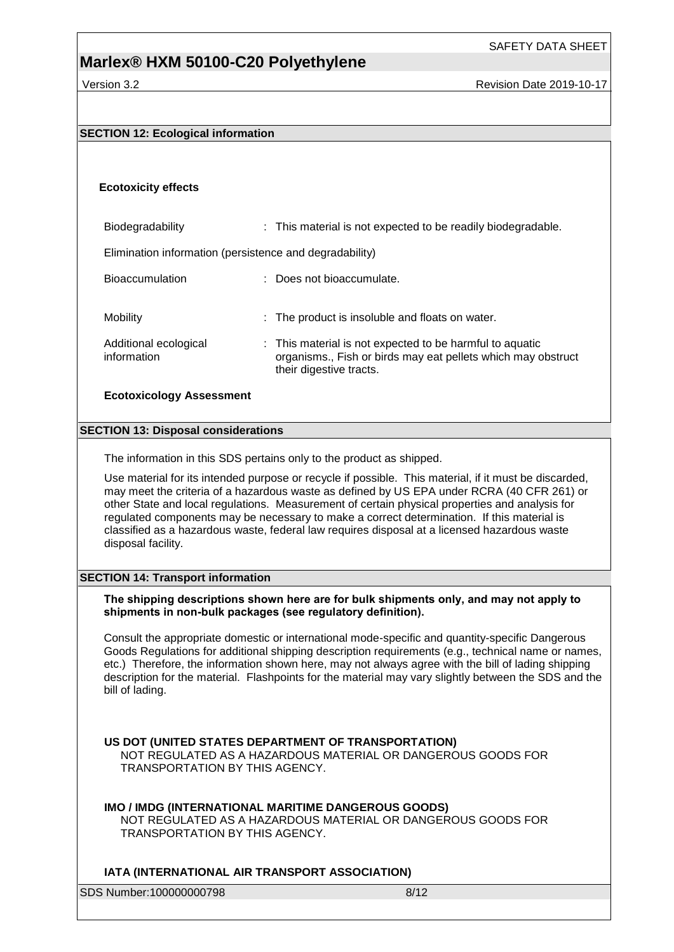Version 3.2 Revision Date 2019-10-17

#### **SECTION 12: Ecological information**

#### **Ecotoxicity effects**

Biodegradability : This material is not expected to be readily biodegradable. Elimination information (persistence and degradability) Bioaccumulation : Does not bioaccumulate. Mobility **EXECUTE:** The product is insoluble and floats on water. Additional ecological information : This material is not expected to be harmful to aquatic organisms., Fish or birds may eat pellets which may obstruct their digestive tracts.

#### **Ecotoxicology Assessment**

#### **SECTION 13: Disposal considerations**

The information in this SDS pertains only to the product as shipped.

Use material for its intended purpose or recycle if possible. This material, if it must be discarded, may meet the criteria of a hazardous waste as defined by US EPA under RCRA (40 CFR 261) or other State and local regulations. Measurement of certain physical properties and analysis for regulated components may be necessary to make a correct determination. If this material is classified as a hazardous waste, federal law requires disposal at a licensed hazardous waste disposal facility.

#### **SECTION 14: Transport information**

#### **The shipping descriptions shown here are for bulk shipments only, and may not apply to shipments in non-bulk packages (see regulatory definition).**

Consult the appropriate domestic or international mode-specific and quantity-specific Dangerous Goods Regulations for additional shipping description requirements (e.g., technical name or names, etc.) Therefore, the information shown here, may not always agree with the bill of lading shipping description for the material. Flashpoints for the material may vary slightly between the SDS and the bill of lading.

#### **US DOT (UNITED STATES DEPARTMENT OF TRANSPORTATION)**

NOT REGULATED AS A HAZARDOUS MATERIAL OR DANGEROUS GOODS FOR TRANSPORTATION BY THIS AGENCY.

#### **IMO / IMDG (INTERNATIONAL MARITIME DANGEROUS GOODS)**

NOT REGULATED AS A HAZARDOUS MATERIAL OR DANGEROUS GOODS FOR TRANSPORTATION BY THIS AGENCY.

#### **IATA (INTERNATIONAL AIR TRANSPORT ASSOCIATION)**

SDS Number:100000000798 8/12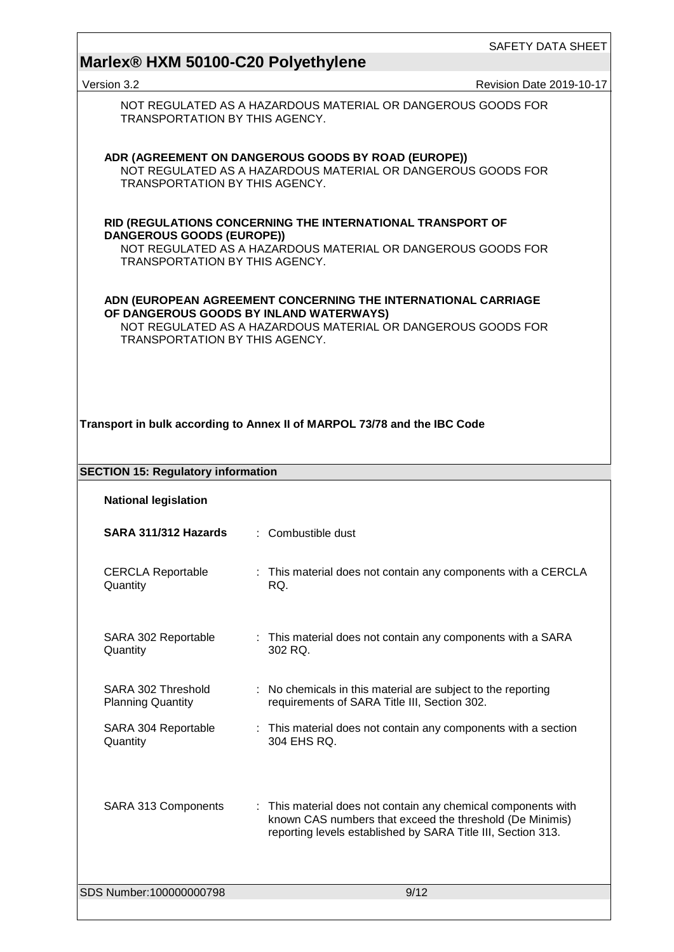# **Marlex® HXM 50100-C20 Polyethylene**

|                                                                          |                                                                                                                                                                          | <b>JAFEII DAIA JHEEI</b> |
|--------------------------------------------------------------------------|--------------------------------------------------------------------------------------------------------------------------------------------------------------------------|--------------------------|
| Marlex <sup>®</sup> HXM 50100-C20 Polyethylene                           |                                                                                                                                                                          | Revision Date 2019-10-17 |
| Version 3.2<br><b>TRANSPORTATION BY THIS AGENCY.</b>                     | NOT REGULATED AS A HAZARDOUS MATERIAL OR DANGEROUS GOODS FOR                                                                                                             |                          |
| TRANSPORTATION BY THIS AGENCY.                                           | ADR (AGREEMENT ON DANGEROUS GOODS BY ROAD (EUROPE))<br>NOT REGULATED AS A HAZARDOUS MATERIAL OR DANGEROUS GOODS FOR                                                      |                          |
| <b>DANGEROUS GOODS (EUROPE))</b><br>TRANSPORTATION BY THIS AGENCY.       | RID (REGULATIONS CONCERNING THE INTERNATIONAL TRANSPORT OF<br>NOT REGULATED AS A HAZARDOUS MATERIAL OR DANGEROUS GOODS FOR                                               |                          |
| TRANSPORTATION BY THIS AGENCY.                                           | ADN (EUROPEAN AGREEMENT CONCERNING THE INTERNATIONAL CARRIAGE<br>OF DANGEROUS GOODS BY INLAND WATERWAYS)<br>NOT REGULATED AS A HAZARDOUS MATERIAL OR DANGEROUS GOODS FOR |                          |
|                                                                          | Transport in bulk according to Annex II of MARPOL 73/78 and the IBC Code                                                                                                 |                          |
| <b>SECTION 15: Regulatory information</b><br><b>National legislation</b> |                                                                                                                                                                          |                          |
| <b>SARA 311/312 Hazards : Combustible dust</b>                           |                                                                                                                                                                          |                          |
| <b>CERCLA Reportable</b><br>Quantity                                     | : This material does not contain any components with a CERCLA<br>RQ.                                                                                                     |                          |
| SARA 302 Reportable<br>Quantity                                          | : This material does not contain any components with a SARA<br>302 RQ.                                                                                                   |                          |
| SARA 302 Threshold<br><b>Planning Quantity</b>                           | : No chemicals in this material are subject to the reporting<br>requirements of SARA Title III, Section 302.                                                             |                          |
| SARA 304 Reportable<br>Quantity                                          | : This material does not contain any components with a section<br>304 EHS RQ.                                                                                            |                          |
|                                                                          |                                                                                                                                                                          |                          |

SARA 313 Components : This material does not contain any chemical components with known CAS numbers that exceed the threshold (De Minimis) reporting levels established by SARA Title III, Section 313.

SDS Number:100000000798 9/12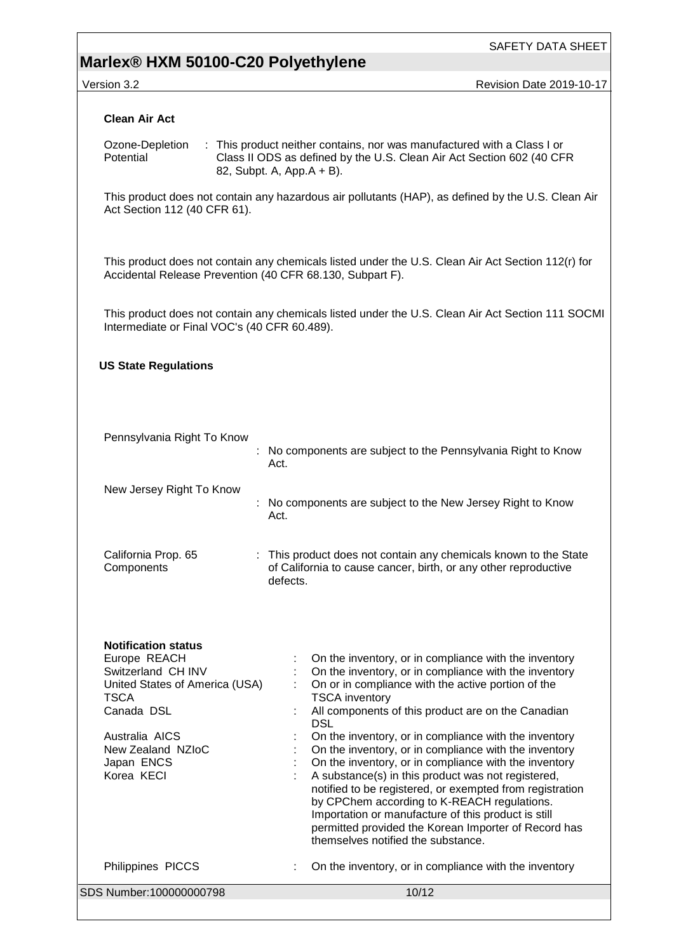# **Marlex® HXM 50100-C20 Polyethylene**

version 3.2 Revision Date 2019-10-17

| <b>Clean Air Act</b>                                                                                                                                                                                          |                                                                                                                                                                                                                                                                                                                                                                                                                                                                                                                                                                                                                                                                                                                                                                    |  |  |  |  |
|---------------------------------------------------------------------------------------------------------------------------------------------------------------------------------------------------------------|--------------------------------------------------------------------------------------------------------------------------------------------------------------------------------------------------------------------------------------------------------------------------------------------------------------------------------------------------------------------------------------------------------------------------------------------------------------------------------------------------------------------------------------------------------------------------------------------------------------------------------------------------------------------------------------------------------------------------------------------------------------------|--|--|--|--|
| : This product neither contains, nor was manufactured with a Class I or<br>Ozone-Depletion<br>Potential<br>Class II ODS as defined by the U.S. Clean Air Act Section 602 (40 CFR<br>82, Subpt. A, App.A + B). |                                                                                                                                                                                                                                                                                                                                                                                                                                                                                                                                                                                                                                                                                                                                                                    |  |  |  |  |
| Act Section 112 (40 CFR 61).                                                                                                                                                                                  | This product does not contain any hazardous air pollutants (HAP), as defined by the U.S. Clean Air                                                                                                                                                                                                                                                                                                                                                                                                                                                                                                                                                                                                                                                                 |  |  |  |  |
| Accidental Release Prevention (40 CFR 68.130, Subpart F).                                                                                                                                                     | This product does not contain any chemicals listed under the U.S. Clean Air Act Section 112(r) for                                                                                                                                                                                                                                                                                                                                                                                                                                                                                                                                                                                                                                                                 |  |  |  |  |
| Intermediate or Final VOC's (40 CFR 60.489).                                                                                                                                                                  | This product does not contain any chemicals listed under the U.S. Clean Air Act Section 111 SOCMI                                                                                                                                                                                                                                                                                                                                                                                                                                                                                                                                                                                                                                                                  |  |  |  |  |
| <b>US State Regulations</b>                                                                                                                                                                                   |                                                                                                                                                                                                                                                                                                                                                                                                                                                                                                                                                                                                                                                                                                                                                                    |  |  |  |  |
| Pennsylvania Right To Know                                                                                                                                                                                    | : No components are subject to the Pennsylvania Right to Know<br>Act.                                                                                                                                                                                                                                                                                                                                                                                                                                                                                                                                                                                                                                                                                              |  |  |  |  |
| New Jersey Right To Know                                                                                                                                                                                      | No components are subject to the New Jersey Right to Know<br>Act.                                                                                                                                                                                                                                                                                                                                                                                                                                                                                                                                                                                                                                                                                                  |  |  |  |  |
| California Prop. 65<br>Components                                                                                                                                                                             | : This product does not contain any chemicals known to the State<br>of California to cause cancer, birth, or any other reproductive<br>defects.                                                                                                                                                                                                                                                                                                                                                                                                                                                                                                                                                                                                                    |  |  |  |  |
| <b>Notification status</b><br>Europe REACH<br>Switzerland CH INV<br>United States of America (USA)<br><b>TSCA</b><br>Canada DSL<br>Australia AICS<br>New Zealand NZIoC<br>Japan ENCS<br>Korea KECI            | On the inventory, or in compliance with the inventory<br>On the inventory, or in compliance with the inventory<br>On or in compliance with the active portion of the<br><b>TSCA</b> inventory<br>All components of this product are on the Canadian<br><b>DSL</b><br>On the inventory, or in compliance with the inventory<br>On the inventory, or in compliance with the inventory<br>On the inventory, or in compliance with the inventory<br>A substance(s) in this product was not registered,<br>notified to be registered, or exempted from registration<br>by CPChem according to K-REACH regulations.<br>Importation or manufacture of this product is still<br>permitted provided the Korean Importer of Record has<br>themselves notified the substance. |  |  |  |  |
| Philippines PICCS                                                                                                                                                                                             | On the inventory, or in compliance with the inventory                                                                                                                                                                                                                                                                                                                                                                                                                                                                                                                                                                                                                                                                                                              |  |  |  |  |
| SDS Number:100000000798                                                                                                                                                                                       | 10/12                                                                                                                                                                                                                                                                                                                                                                                                                                                                                                                                                                                                                                                                                                                                                              |  |  |  |  |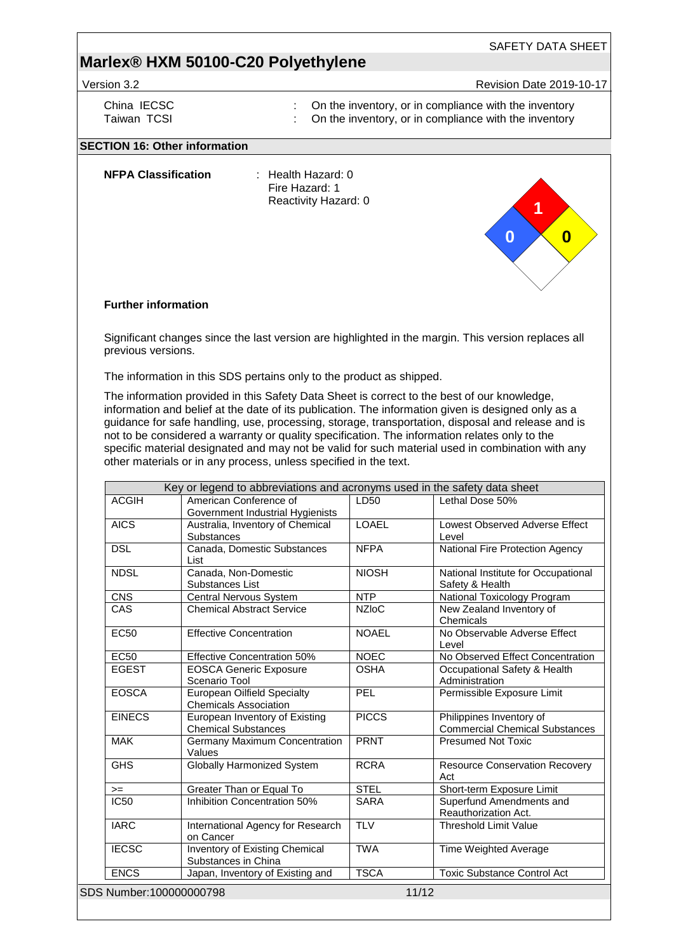- 
- Version 3.2 **Revision Date 2019-10-17**

**1**

**0**

SAFETY DATA SHEET

**0**

- China IECSC **:** On the inventory, or in compliance with the inventory<br>Taiwan TCSI **1990** : On the inventory, or in compliance with the inventory
	- On the inventory, or in compliance with the inventory

### **SECTION 16: Other information**

**NFPA Classification** : Health Hazard: 0

Fire Hazard: 1 Reactivity Hazard: 0

#### **Further information**

Significant changes since the last version are highlighted in the margin. This version replaces all previous versions.

The information in this SDS pertains only to the product as shipped.

The information provided in this Safety Data Sheet is correct to the best of our knowledge, information and belief at the date of its publication. The information given is designed only as a guidance for safe handling, use, processing, storage, transportation, disposal and release and is not to be considered a warranty or quality specification. The information relates only to the specific material designated and may not be valid for such material used in combination with any other materials or in any process, unless specified in the text.

|                         | Key or legend to abbreviations and acronyms used in the safety data sheet |              |                                                                   |
|-------------------------|---------------------------------------------------------------------------|--------------|-------------------------------------------------------------------|
| <b>ACGIH</b>            | American Conference of<br>Government Industrial Hygienists                | LD50         | Lethal Dose 50%                                                   |
| <b>AICS</b>             | Australia, Inventory of Chemical<br><b>Substances</b>                     | <b>LOAEL</b> | <b>Lowest Observed Adverse Effect</b><br>Level                    |
| <b>DSL</b>              | Canada, Domestic Substances<br>List                                       | <b>NFPA</b>  | National Fire Protection Agency                                   |
| <b>NDSL</b>             | Canada, Non-Domestic<br>Substances List                                   | <b>NIOSH</b> | National Institute for Occupational<br>Safety & Health            |
| <b>CNS</b>              | Central Nervous System                                                    | <b>NTP</b>   | National Toxicology Program                                       |
| CAS                     | <b>Chemical Abstract Service</b>                                          | <b>NZIoC</b> | New Zealand Inventory of<br>Chemicals                             |
| <b>EC50</b>             | <b>Effective Concentration</b>                                            | <b>NOAEL</b> | No Observable Adverse Effect<br>Level                             |
| <b>EC50</b>             | <b>Effective Concentration 50%</b>                                        | <b>NOEC</b>  | No Observed Effect Concentration                                  |
| <b>EGEST</b>            | <b>EOSCA Generic Exposure</b><br>Scenario Tool                            | <b>OSHA</b>  | Occupational Safety & Health<br>Administration                    |
| <b>EOSCA</b>            | <b>European Oilfield Specialty</b><br><b>Chemicals Association</b>        | PEL          | Permissible Exposure Limit                                        |
| <b>EINECS</b>           | European Inventory of Existing<br><b>Chemical Substances</b>              | <b>PICCS</b> | Philippines Inventory of<br><b>Commercial Chemical Substances</b> |
| <b>MAK</b>              | <b>Germany Maximum Concentration</b><br>Values                            | <b>PRNT</b>  | <b>Presumed Not Toxic</b>                                         |
| <b>GHS</b>              | <b>Globally Harmonized System</b>                                         | <b>RCRA</b>  | <b>Resource Conservation Recovery</b><br>Act                      |
| $>=$                    | Greater Than or Equal To                                                  | <b>STEL</b>  | Short-term Exposure Limit                                         |
| <b>IC50</b>             | Inhibition Concentration 50%                                              | <b>SARA</b>  | Superfund Amendments and<br>Reauthorization Act.                  |
| <b>IARC</b>             | International Agency for Research<br>on Cancer                            | <b>TLV</b>   | <b>Threshold Limit Value</b>                                      |
| <b>IECSC</b>            | Inventory of Existing Chemical<br>Substances in China                     | <b>TWA</b>   | Time Weighted Average                                             |
| <b>ENCS</b>             | Japan, Inventory of Existing and                                          | <b>TSCA</b>  | <b>Toxic Substance Control Act</b>                                |
| SDS Number:100000000798 |                                                                           |              | 11/12                                                             |